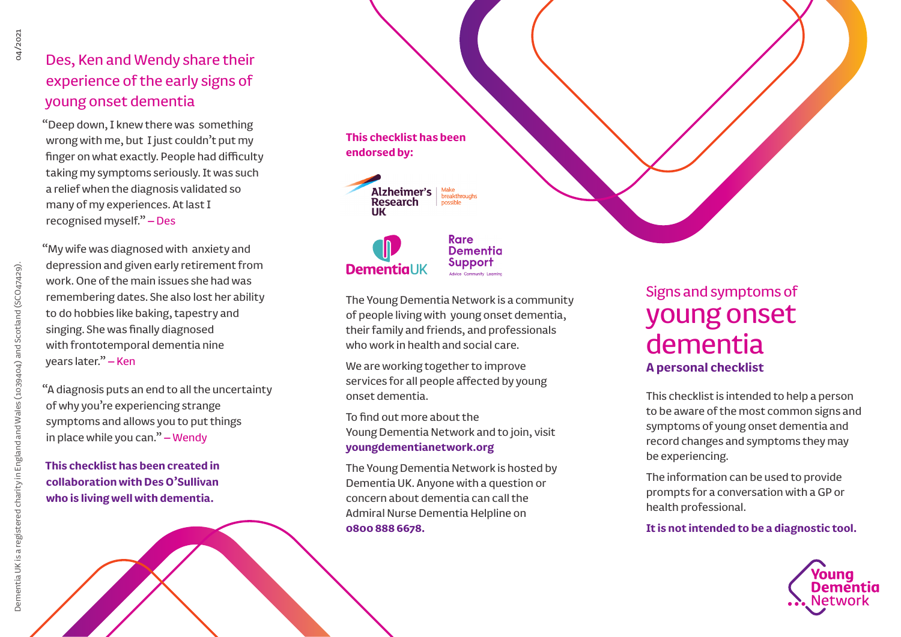### Des, Ken and Wendy share their experience of the early signs of young onset dementia

"Deep down, I knew there was something wrong with me, but I just couldn't put my finger on what exactly. People had difficulty taking my symptoms seriously. It was such a relief when the diagnosis validated so many of my experiences. At last I recognised myself." – Des

"My wife was diagnosed with anxiety and depression and given early retirement from work. One of the main issues she had was remembering dates. She also lost her ability to do hobbies like baking, tapestry and singing. She was finally diagnosed with frontotemporal dementia nine years later." – Ken

"A diagnosis puts an end to all the uncertainty of why you're experiencing strange symptoms and allows you to put things in place while you can." – Wendy

**This checklist has been created in collaboration with Des O'Sullivan who is living well with dementia.**

## **This checklist has been endorsed by:**

Alzheimer's Research ПK

**Rare Dementia** Support **DementiaUK** 

The Young Dementia Network is a community of people living with young onset dementia, their family and friends, and professionals who work in health and social care.

We are working together to improve services for all people affected by young onset dementia.

To find out more about the Young Dementia Network and to join, visit **youngdementianetwork.org**

The Young Dementia Network is hosted by Dementia UK. Anyone with a question or concern about dementia can call the Admiral Nurse Dementia Helpline on **0800 888 6678.**

## Signs and symptoms of young onset dementia **A personal checklist**

This checklist is intended to help a person to be aware of the most common signs and symptoms of young onset dementia and record changes and symptoms they may be experiencing.

The information can be used to provide prompts for a conversation with a GP or health professional.

**It is not intended to be a diagnostic tool.**